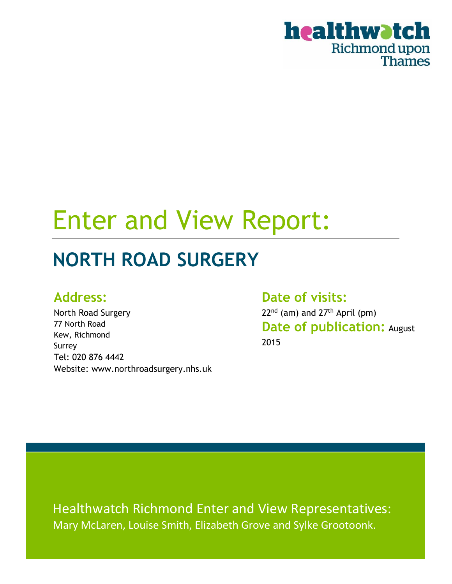

# Enter and View Report:

# **NORTH ROAD SURGERY**

### **Address:**

North Road Surgery 77 North Road Kew, Richmond Surrey Tel: 020 876 4442 Website: www.northroadsurgery.nhs.uk

**Date of visits:** 22<sup>nd</sup> (am) and 27<sup>th</sup> April (pm) **Date of publication:** August 2015

Healthwatch Richmond Enter and View Representatives: Mary McLaren, Louise Smith, Elizabeth Grove and Sylke Grootoonk.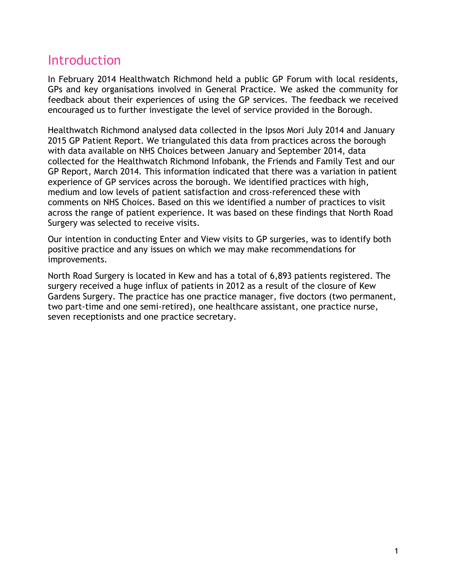### Introduction

In February 2014 Healthwatch Richmond held a public GP Forum with local residents, GPs and key organisations involved in General Practice. We asked the community for feedback about their experiences of using the GP services. The feedback we received encouraged us to further investigate the level of service provided in the Borough.

Healthwatch Richmond analysed data collected in the Ipsos Mori July 2014 and January 2015 GP Patient Report. We triangulated this data from practices across the borough with data available on NHS Choices between January and September 2014, data collected for the Healthwatch Richmond Infobank, the Friends and Family Test and our GP Report, March 2014. This information indicated that there was a variation in patient experience of GP services across the borough. We identified practices with high, medium and low levels of patient satisfaction and cross-referenced these with comments on NHS Choices. Based on this we identified a number of practices to visit across the range of patient experience. It was based on these findings that North Road Surgery was selected to receive visits.

Our intention in conducting Enter and View visits to GP surgeries, was to identify both positive practice and any issues on which we may make recommendations for improvements.

North Road Surgery is located in Kew and has a total of 6,893 patients registered. The surgery received a huge influx of patients in 2012 as a result of the closure of Kew Gardens Surgery. The practice has one practice manager, five doctors (two permanent, two part-time and one semi-retired), one healthcare assistant, one practice nurse, seven receptionists and one practice secretary.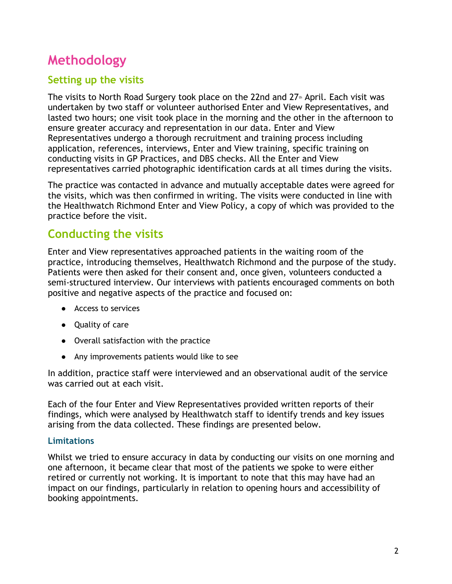## **Methodology**

### **Setting up the visits**

The visits to North Road Surgery took place on the 22nd and  $27<sup>th</sup>$  April. Each visit was undertaken by two staff or volunteer authorised Enter and View Representatives, and lasted two hours; one visit took place in the morning and the other in the afternoon to ensure greater accuracy and representation in our data. Enter and View Representatives undergo a thorough recruitment and training process including application, references, interviews, Enter and View training, specific training on conducting visits in GP Practices, and DBS checks. All the Enter and View representatives carried photographic identification cards at all times during the visits.

The practice was contacted in advance and mutually acceptable dates were agreed for the visits, which was then confirmed in writing. The visits were conducted in line with the Healthwatch Richmond Enter and View Policy, a copy of which was provided to the practice before the visit.

### **Conducting the visits**

Enter and View representatives approached patients in the waiting room of the practice, introducing themselves, Healthwatch Richmond and the purpose of the study. Patients were then asked for their consent and, once given, volunteers conducted a semi-structured interview. Our interviews with patients encouraged comments on both positive and negative aspects of the practice and focused on:

- Access to services
- Quality of care
- Overall satisfaction with the practice
- Any improvements patients would like to see

In addition, practice staff were interviewed and an observational audit of the service was carried out at each visit.

Each of the four Enter and View Representatives provided written reports of their findings, which were analysed by Healthwatch staff to identify trends and key issues arising from the data collected. These findings are presented below.

#### **Limitations**

Whilst we tried to ensure accuracy in data by conducting our visits on one morning and one afternoon, it became clear that most of the patients we spoke to were either retired or currently not working. It is important to note that this may have had an impact on our findings, particularly in relation to opening hours and accessibility of booking appointments.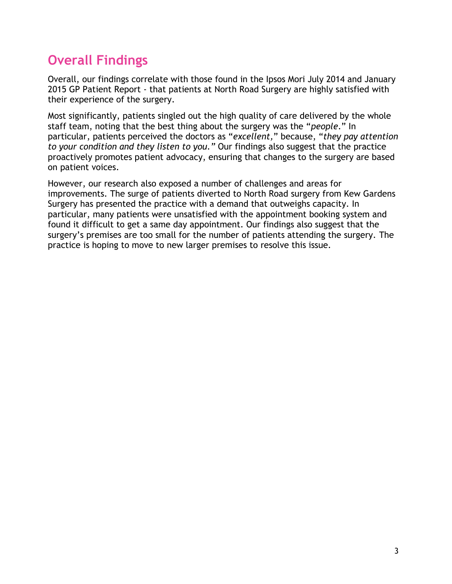## **Overall Findings**

Overall, our findings correlate with those found in the Ipsos Mori July 2014 and January 2015 GP Patient Report - that patients at North Road Surgery are highly satisfied with their experience of the surgery.

Most significantly, patients singled out the high quality of care delivered by the whole staff team, noting that the best thing about the surgery was the "*people*." In particular, patients perceived the doctors as "*excellent,*" because, "*they pay attention to your condition and they listen to you."* Our findings also suggest that the practice proactively promotes patient advocacy, ensuring that changes to the surgery are based on patient voices.

However, our research also exposed a number of challenges and areas for improvements. The surge of patients diverted to North Road surgery from Kew Gardens Surgery has presented the practice with a demand that outweighs capacity. In particular, many patients were unsatisfied with the appointment booking system and found it difficult to get a same day appointment. Our findings also suggest that the surgery's premises are too small for the number of patients attending the surgery. The practice is hoping to move to new larger premises to resolve this issue.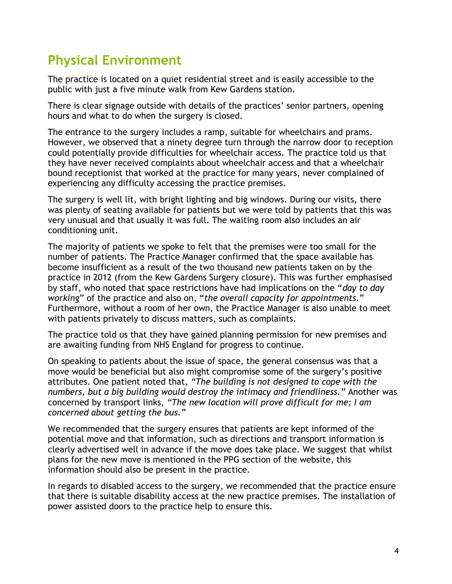### **Physical Environment**

The practice is located on a quiet residential street and is easily accessible to the public with just a five minute walk from Kew Gardens station.

There is clear signage outside with details of the practices' senior partners, opening hours and what to do when the surgery is closed.

The entrance to the surgery includes a ramp, suitable for wheelchairs and prams. However, we observed that a ninety degree turn through the narrow door to reception could potentially provide difficulties for wheelchair access. The practice told us that they have never received complaints about wheelchair access and that a wheelchair bound receptionist that worked at the practice for many years, never complained of experiencing any difficulty accessing the practice premises.

The surgery is well lit, with bright lighting and big windows. During our visits, there was plenty of seating available for patients but we were told by patients that this was very unusual and that usually it was full. The waiting room also includes an air conditioning unit.

The majority of patients we spoke to felt that the premises were too small for the number of patients. The Practice Manager confirmed that the space available has become insufficient as a result of the two thousand new patients taken on by the practice in 2012 (from the Kew Gardens Surgery closure). This was further emphasised by staff, who noted that space restrictions have had implications on the "*day to day working*" of the practice and also on, "*the overall capacity for appointments*." Furthermore, without a room of her own, the Practice Manager is also unable to meet with patients privately to discuss matters, such as complaints.

The practice told us that they have gained planning permission for new premises and are awaiting funding from NHS England for progress to continue.

On speaking to patients about the issue of space, the general consensus was that a move would be beneficial but also might compromise some of the surgery's positive attributes. One patient noted that, *"The building is not designed to cope with the numbers, but a big building would destroy the intimacy and friendliness."* Another was concerned by transport links, *"The new location will prove difficult for me; I am concerned about getting the bus."*

We recommended that the surgery ensures that patients are kept informed of the potential move and that information, such as directions and transport information is clearly advertised well in advance if the move does take place. We suggest that whilst plans for the new move is mentioned in the PPG section of the website, this information should also be present in the practice.

In regards to disabled access to the surgery, we recommended that the practice ensure that there is suitable disability access at the new practice premises. The installation of power assisted doors to the practice help to ensure this.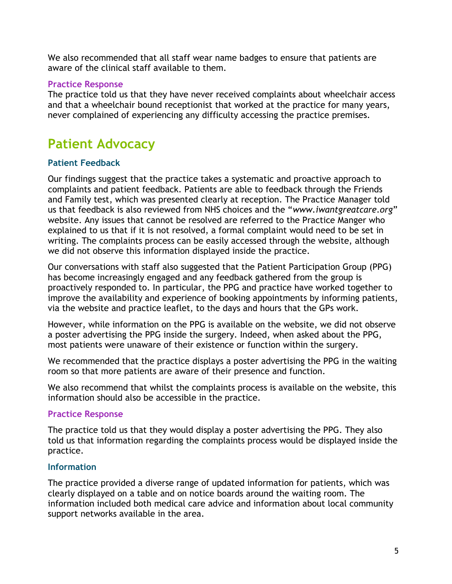We also recommended that all staff wear name badges to ensure that patients are aware of the clinical staff available to them.

#### **Practice Response**

The practice told us that they have never received complaints about wheelchair access and that a wheelchair bound receptionist that worked at the practice for many years, never complained of experiencing any difficulty accessing the practice premises.

## **Patient Advocacy**

#### **Patient Feedback**

Our findings suggest that the practice takes a systematic and proactive approach to complaints and patient feedback. Patients are able to feedback through the Friends and Family test, which was presented clearly at reception. The Practice Manager told us that feedback is also reviewed from NHS choices and the "*www.iwantgreatcare.org*" website. Any issues that cannot be resolved are referred to the Practice Manger who explained to us that if it is not resolved, a formal complaint would need to be set in writing. The complaints process can be easily accessed through the website, although we did not observe this information displayed inside the practice.

Our conversations with staff also suggested that the Patient Participation Group (PPG) has become increasingly engaged and any feedback gathered from the group is proactively responded to. In particular, the PPG and practice have worked together to improve the availability and experience of booking appointments by informing patients, via the website and practice leaflet, to the days and hours that the GPs work.

However, while information on the PPG is available on the website, we did not observe a poster advertising the PPG inside the surgery. Indeed, when asked about the PPG, most patients were unaware of their existence or function within the surgery.

We recommended that the practice displays a poster advertising the PPG in the waiting room so that more patients are aware of their presence and function.

We also recommend that whilst the complaints process is available on the website, this information should also be accessible in the practice.

#### **Practice Response**

The practice told us that they would display a poster advertising the PPG. They also told us that information regarding the complaints process would be displayed inside the practice.

#### **Information**

The practice provided a diverse range of updated information for patients, which was clearly displayed on a table and on notice boards around the waiting room. The information included both medical care advice and information about local community support networks available in the area.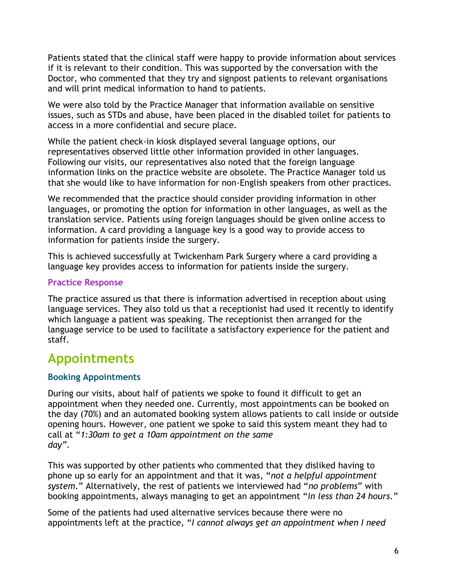Patients stated that the clinical staff were happy to provide information about services if it is relevant to their condition. This was supported by the conversation with the Doctor, who commented that they try and signpost patients to relevant organisations and will print medical information to hand to patients.

We were also told by the Practice Manager that information available on sensitive issues, such as STDs and abuse, have been placed in the disabled toilet for patients to access in a more confidential and secure place.

While the patient check-in kiosk displayed several language options, our representatives observed little other information provided in other languages. Following our visits, our representatives also noted that the foreign language information links on the practice website are obsolete. The Practice Manager told us that she would like to have information for non-English speakers from other practices.

We recommended that the practice should consider providing information in other languages, or promoting the option for information in other languages, as well as the translation service. Patients using foreign languages should be given online access to information. A card providing a language key is a good way to provide access to information for patients inside the surgery.

This is achieved successfully at Twickenham Park Surgery where a card providing a language key provides access to information for patients inside the surgery.

#### **Practice Response**

The practice assured us that there is information advertised in reception about using language services. They also told us that a receptionist had used it recently to identify which language a patient was speaking. The receptionist then arranged for the language service to be used to facilitate a satisfactory experience for the patient and staff.

### **Appointments**

#### **Booking Appointments**

During our visits, about half of patients we spoke to found it difficult to get an appointment when they needed one. Currently, most appointments can be booked on the day (70%) and an automated booking system allows patients to call inside or outside opening hours. However, one patient we spoke to said this system meant they had to call at "*1:30am to get a 10am appointment on the same day"*.

This was supported by other patients who commented that they disliked having to phone up so early for an appointment and that it was, "*not a helpful appointment system*." Alternatively, the rest of patients we interviewed had "*no problems*" with booking appointments, always managing to get an appointment "*in less than 24 hours*."

Some of the patients had used alternative services because there were no appointments left at the practice, "*I cannot always get an appointment when I need*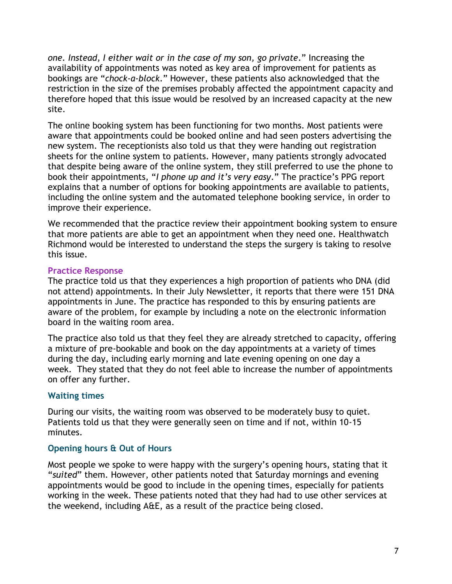*one. Instead, I either wait or in the case of my son, go private*." Increasing the availability of appointments was noted as key area of improvement for patients as bookings are "*chock-a-block*." However, these patients also acknowledged that the restriction in the size of the premises probably affected the appointment capacity and therefore hoped that this issue would be resolved by an increased capacity at the new site.

The online booking system has been functioning for two months. Most patients were aware that appointments could be booked online and had seen posters advertising the new system. The receptionists also told us that they were handing out registration sheets for the online system to patients. However, many patients strongly advocated that despite being aware of the online system, they still preferred to use the phone to book their appointments, "*I phone up and it's very easy*." The practice's PPG report explains that a number of options for booking appointments are available to patients, including the online system and the automated telephone booking service, in order to improve their experience.

We recommended that the practice review their appointment booking system to ensure that more patients are able to get an appointment when they need one. Healthwatch Richmond would be interested to understand the steps the surgery is taking to resolve this issue.

#### **Practice Response**

The practice told us that they experiences a high proportion of patients who DNA (did not attend) appointments. In their July Newsletter, it reports that there were 151 DNA appointments in June. The practice has responded to this by ensuring patients are aware of the problem, for example by including a note on the electronic information board in the waiting room area.

The practice also told us that they feel they are already stretched to capacity, offering a mixture of pre-bookable and book on the day appointments at a variety of times during the day, including early morning and late evening opening on one day a week. They stated that they do not feel able to increase the number of appointments on offer any further.

#### **Waiting times**

During our visits, the waiting room was observed to be moderately busy to quiet. Patients told us that they were generally seen on time and if not, within 10-15 minutes.

#### **Opening hours & Out of Hours**

Most people we spoke to were happy with the surgery's opening hours, stating that it "*suited*" them. However, other patients noted that Saturday mornings and evening appointments would be good to include in the opening times, especially for patients working in the week. These patients noted that they had had to use other services at the weekend, including A&E, as a result of the practice being closed.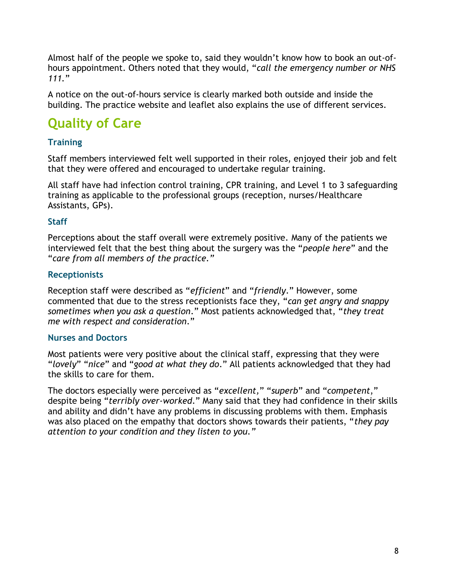Almost half of the people we spoke to, said they wouldn't know how to book an out-ofhours appointment. Others noted that they would, "*call the emergency number or NHS 111.*"

A notice on the out-of-hours service is clearly marked both outside and inside the building. The practice website and leaflet also explains the use of different services.

# **Quality of Care**

#### **Training**

Staff members interviewed felt well supported in their roles, enjoyed their job and felt that they were offered and encouraged to undertake regular training.

All staff have had infection control training, CPR training, and Level 1 to 3 safeguarding training as applicable to the professional groups (reception, nurses/Healthcare Assistants, GPs).

#### **Staff**

Perceptions about the staff overall were extremely positive. Many of the patients we interviewed felt that the best thing about the surgery was the "*people here*" and the "*care from all members of the practice."*

#### **Receptionists**

Reception staff were described as "*efficient*" and "*friendly*." However, some commented that due to the stress receptionists face they, "*can get angry and snappy sometimes when you ask a question*." Most patients acknowledged that, "*they treat me with respect and consideration*."

#### **Nurses and Doctors**

Most patients were very positive about the clinical staff, expressing that they were "*lovely*" "*nice*" and "*good at what they do*." All patients acknowledged that they had the skills to care for them.

The doctors especially were perceived as "*excellent,*" "*superb*" and "*competent*," despite being "*terribly over-worked*." Many said that they had confidence in their skills and ability and didn't have any problems in discussing problems with them. Emphasis was also placed on the empathy that doctors shows towards their patients, "*they pay attention to your condition and they listen to you."*